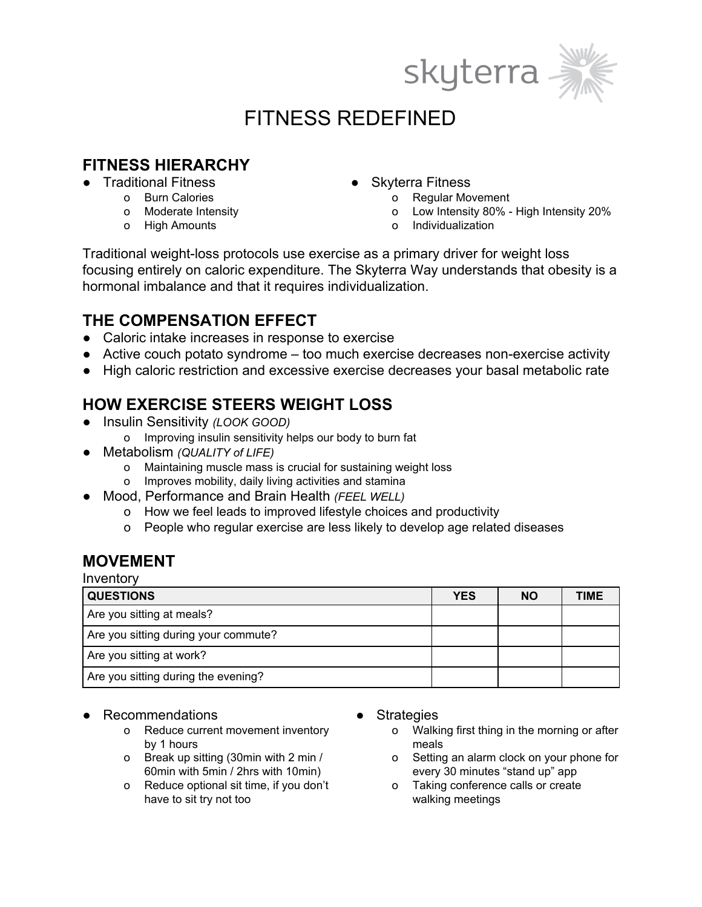



# FITNESS REDEFINED

### **FITNESS HIERARCHY**

- Traditional Fitness
	- o Burn Calories
	- o Moderate Intensity
	- o High Amounts
- **Skyterra Fitness** 
	- o Regular Movement
	- Low Intensity 80% High Intensity 20%
	- o Individualization

Traditional weight-loss protocols use exercise as a primary driver for weight loss focusing entirely on caloric expenditure. The Skyterra Way understands that obesity is a hormonal imbalance and that it requires individualization.

### **THE COMPENSATION EFFECT**

- Caloric intake increases in response to exercise
- Active couch potato syndrome too much exercise decreases non-exercise activity
- High caloric restriction and excessive exercise decreases your basal metabolic rate

## **HOW EXERCISE STEERS WEIGHT LOSS**

- Insulin Sensitivity *(LOOK GOOD)*
	- o Improving insulin sensitivity helps our body to burn fat
- Metabolism *(QUALITY of LIFE)*
	- o Maintaining muscle mass is crucial for sustaining weight loss
	- o Improves mobility, daily living activities and stamina
- Mood, Performance and Brain Health *(FEEL WELL)*
	- o How we feel leads to improved lifestyle choices and productivity
	- o People who regular exercise are less likely to develop age related diseases

#### **MOVEMENT**

Inventory

| <b>QUESTIONS</b>                     | <b>YES</b> | <b>NO</b> | TIME |
|--------------------------------------|------------|-----------|------|
| Are you sitting at meals?            |            |           |      |
| Are you sitting during your commute? |            |           |      |
| Are you sitting at work?             |            |           |      |
| Are you sitting during the evening?  |            |           |      |

- Recommendations
	- o Reduce current movement inventory by 1 hours
	- o Break up sitting (30min with 2 min / 60min with 5min / 2hrs with 10min)
	- o Reduce optional sit time, if you don't have to sit try not too
- **Strategies** 
	- o Walking first thing in the morning or after meals
	- o Setting an alarm clock on your phone for every 30 minutes "stand up" app
	- o Taking conference calls or create walking meetings